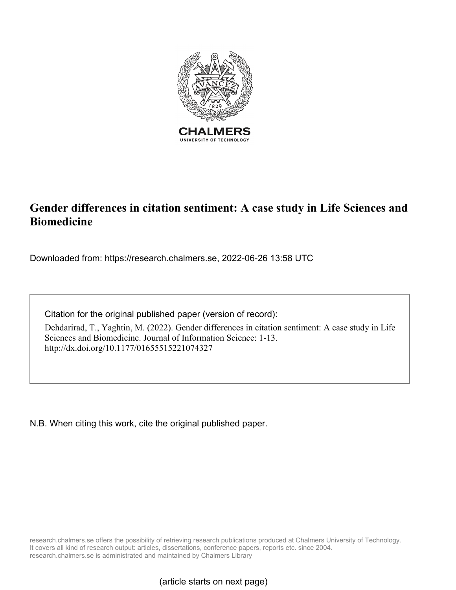

# **Gender differences in citation sentiment: A case study in Life Sciences and Biomedicine**

Downloaded from: https://research.chalmers.se, 2022-06-26 13:58 UTC

Citation for the original published paper (version of record):

Dehdarirad, T., Yaghtin, M. (2022). Gender differences in citation sentiment: A case study in Life Sciences and Biomedicine. Journal of Information Science: 1-13. http://dx.doi.org/10.1177/01655515221074327

N.B. When citing this work, cite the original published paper.

research.chalmers.se offers the possibility of retrieving research publications produced at Chalmers University of Technology. It covers all kind of research output: articles, dissertations, conference papers, reports etc. since 2004. research.chalmers.se is administrated and maintained by Chalmers Library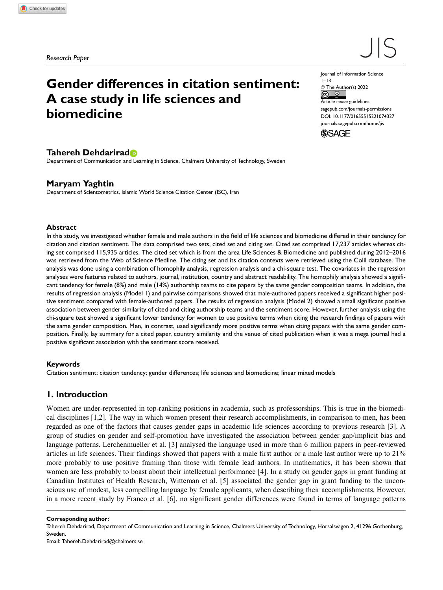Research Paper

# $\vert\vert$

# Gender differences in citation sentiment: A case study in life sciences and biomedicine

Journal of Information Science  $1 - 13$ 

© The Author(s) 2022  $\odot$  $\odot$ 

Article reuse guidelines: sagepub.com/journals-permissions [DOI: 10.1177/01655515221074327](https://doi.org/10.1177/01655515221074327) journals.sagepub.com/home/jis



# Tahereh Dehdarirad

Department of Communication and Learning in Science, Chalmers University of Technology, Sweden

## Maryam Yaghtin

Department of Scientometrics, Islamic World Science Citation Center (ISC), Iran

#### Abstract

In this study, we investigated whether female and male authors in the field of life sciences and biomedicine differed in their tendency for citation and citation sentiment. The data comprised two sets, cited set and citing set. Cited set comprised 17,237 articles whereas citing set comprised 115,935 articles. The cited set which is from the area Life Sciences & Biomedicine and published during 2012–2016 was retrieved from the Web of Science Medline. The citing set and its citation contexts were retrieved using the Colil database. The analysis was done using a combination of homophily analysis, regression analysis and a chi-square test. The covariates in the regression analyses were features related to authors, journal, institution, country and abstract readability. The homophily analysis showed a significant tendency for female (8%) and male (14%) authorship teams to cite papers by the same gender composition teams. In addition, the results of regression analysis (Model 1) and pairwise comparisons showed that male-authored papers received a significant higher positive sentiment compared with female-authored papers. The results of regression analysis (Model 2) showed a small significant positive association between gender similarity of cited and citing authorship teams and the sentiment score. However, further analysis using the chi-square test showed a significant lower tendency for women to use positive terms when citing the research findings of papers with the same gender composition. Men, in contrast, used significantly more positive terms when citing papers with the same gender composition. Finally, lay summary for a cited paper, country similarity and the venue of cited publication when it was a mega journal had a positive significant association with the sentiment score received.

#### Keywords

Citation sentiment; citation tendency; gender differences; life sciences and biomedicine; linear mixed models

# 1. Introduction

Women are under-represented in top-ranking positions in academia, such as professorships. This is true in the biomedical disciplines [1,2]. The way in which women present their research accomplishments, in comparison to men, has been regarded as one of the factors that causes gender gaps in academic life sciences according to previous research [3]. A group of studies on gender and self-promotion have investigated the association between gender gap/implicit bias and language patterns. Lerchenmueller et al. [3] analysed the language used in more than 6 million papers in peer-reviewed articles in life sciences. Their findings showed that papers with a male first author or a male last author were up to 21% more probably to use positive framing than those with female lead authors. In mathematics, it has been shown that women are less probably to boast about their intellectual performance [4]. In a study on gender gaps in grant funding at Canadian Institutes of Health Research, Witteman et al. [5] associated the gender gap in grant funding to the unconscious use of modest, less compelling language by female applicants, when describing their accomplishments. However, in a more recent study by Franco et al. [6], no significant gender differences were found in terms of language patterns

Corresponding author:

Tahereh Dehdarirad, Department of Communication and Learning in Science, Chalmers University of Technology, Hörsalsvägen 2, 41296 Gothenburg, Sweden.

Email: Tahereh.Dehdarirad@chalmers.se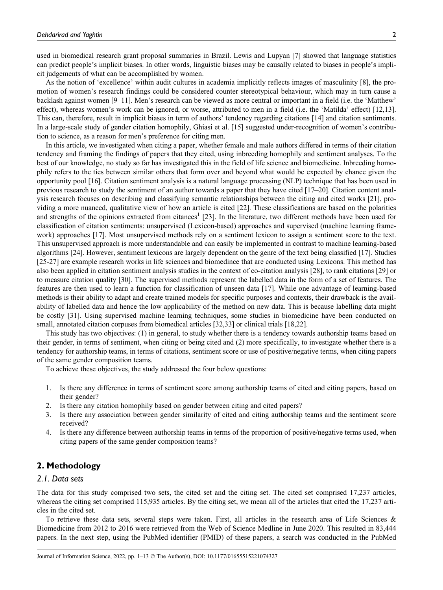used in biomedical research grant proposal summaries in Brazil. Lewis and Lupyan [7] showed that language statistics can predict people's implicit biases. In other words, linguistic biases may be causally related to biases in people's implicit judgements of what can be accomplished by women.

As the notion of 'excellence' within audit cultures in academia implicitly reflects images of masculinity [8], the promotion of women's research findings could be considered counter stereotypical behaviour, which may in turn cause a backlash against women [9–11]. Men's research can be viewed as more central or important in a field (i.e. the 'Matthew' effect), whereas women's work can be ignored, or worse, attributed to men in a field (i.e. the 'Matilda' effect) [12,13]. This can, therefore, result in implicit biases in term of authors' tendency regarding citations [14] and citation sentiments. In a large-scale study of gender citation homophily, Ghiasi et al. [15] suggested under-recognition of women's contribution to science, as a reason for men's preference for citing men.

In this article, we investigated when citing a paper, whether female and male authors differed in terms of their citation tendency and framing the findings of papers that they cited, using inbreeding homophily and sentiment analyses. To the best of our knowledge, no study so far has investigated this in the field of life science and biomedicine. Inbreeding homophily refers to the ties between similar others that form over and beyond what would be expected by chance given the opportunity pool [16]. Citation sentiment analysis is a natural language processing (NLP) technique that has been used in previous research to study the sentiment of an author towards a paper that they have cited [17–20]. Citation content analysis research focuses on describing and classifying semantic relationships between the citing and cited works [21], providing a more nuanced, qualitative view of how an article is cited [22]. These classifications are based on the polarities and strengths of the opinions extracted from citances<sup>1</sup> [23]. In the literature, two different methods have been used for classification of citation sentiments: unsupervised (Lexicon-based) approaches and supervised (machine learning framework) approaches [17]. Most unsupervised methods rely on a sentiment lexicon to assign a sentiment score to the text. This unsupervised approach is more understandable and can easily be implemented in contrast to machine learning-based algorithms [24]. However, sentiment lexicons are largely dependent on the genre of the text being classified [17]. Studies [25-27] are example research works in life sciences and biomedince that are conducted using Lexicons. This method has also been applied in citation sentiment analysis studies in the context of co-citation analysis [28], to rank citations [29] or to measure citation quality [30]. The supervised methods represent the labelled data in the form of a set of features. The features are then used to learn a function for classification of unseen data [17]. While one advantage of learning-based methods is their ability to adapt and create trained models for specific purposes and contexts, their drawback is the availability of labelled data and hence the low applicability of the method on new data. This is because labelling data might be costly [31]. Using supervised machine learning techniques, some studies in biomedicine have been conducted on small, annotated citation corpuses from biomedical articles [32,33] or clinical trials [18,22].

This study has two objectives: (1) in general, to study whether there is a tendency towards authorship teams based on their gender, in terms of sentiment, when citing or being cited and (2) more specifically, to investigate whether there is a tendency for authorship teams, in terms of citations, sentiment score or use of positive/negative terms, when citing papers of the same gender composition teams.

To achieve these objectives, the study addressed the four below questions:

- 1. Is there any difference in terms of sentiment score among authorship teams of cited and citing papers, based on their gender?
- 2. Is there any citation homophily based on gender between citing and cited papers?
- 3. Is there any association between gender similarity of cited and citing authorship teams and the sentiment score received?
- 4. Is there any difference between authorship teams in terms of the proportion of positive/negative terms used, when citing papers of the same gender composition teams?

### 2. Methodology

## 2.1. Data sets

The data for this study comprised two sets, the cited set and the citing set. The cited set comprised 17,237 articles, whereas the citing set comprised 115,935 articles. By the citing set, we mean all of the articles that cited the 17,237 articles in the cited set.

To retrieve these data sets, several steps were taken. First, all articles in the research area of Life Sciences & Biomedicine from 2012 to 2016 were retrieved from the Web of Science Medline in June 2020. This resulted in 83,444 papers. In the next step, using the PubMed identifier (PMID) of these papers, a search was conducted in the PubMed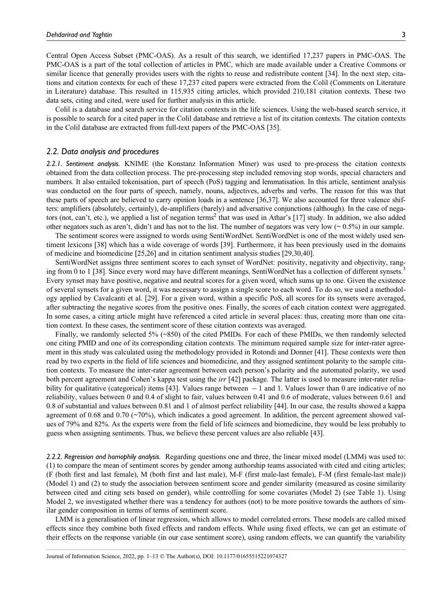Central Open Access Subset (PMC-OAS). As a result of this search, we identified 17,237 papers in PMC-OAS. The PMC-OAS is a part of the total collection of articles in PMC, which are made available under a Creative Commons or similar licence that generally provides users with the rights to reuse and redistribute content [34]. In the next step, citations and citation contexts for each of these 17,237 cited papers were extracted from the Colil (Comments on Literature in Literature) database. This resulted in 115,935 citing articles, which provided 210,181 citation contexts. These two data sets, citing and cited, were used for further analysis in this article.

Colil is a database and search service for citation contexts in the life sciences. Using the web-based search service, it is possible to search for a cited paper in the Colil database and retrieve a list of its citation contexts. The citation contexts in the Colil database are extracted from full-text papers of the PMC-OAS [35].

#### 2.2. Data analysis and procedures

2.2.1. Sentiment analysis. KNIME (the Konstanz Information Miner) was used to pre-process the citation contexts obtained from the data collection process. The pre-processing step included removing stop words, special characters and numbers. It also entailed tokenisation, part of speech (PoS) tagging and lemmatisation. In this article, sentiment analysis was conducted on the four parts of speech, namely, nouns, adjectives, adverbs and verbs. The reason for this was that these parts of speech are believed to carry opinion loads in a sentence [36,37]. We also accounted for three valence shifters: amplifiers (absolutely, certainly), de-amplifiers (barely) and adversative conjunctions (although). In the case of negators (not, can't, etc.), we applied a list of negation terms<sup>2</sup> that was used in Athar's [17] study. In addition, we also added other negators such as aren't, didn't and has not to the list. The number of negators was very low ( $\sim 0.5\%$ ) in our sample.

The sentiment scores were assigned to words using SentiWordNet. SentiWordNet is one of the most widely used sentiment lexicons [38] which has a wide coverage of words [39]. Furthermore, it has been previously used in the domains of medicine and biomedicine [25,26] and in citation sentiment analysis studies [29,30,40].

SentiWordNet assigns three sentiment scores to each synset of WordNet: positivity, negativity and objectivity, ranging from 0 to 1 [38]. Since every word may have different meanings, SentiWordNet has a collection of different synsets.<sup>3</sup> Every synset may have positive, negative and neutral scores for a given word, which sums up to one. Given the existence of several synsets for a given word, it was necessary to assign a single score to each word. To do so, we used a methodology applied by Cavalcanti et al. [29]. For a given word, within a specific PoS, all scores for its synsets were averaged, after subtracting the negative scores from the positive ones. Finally, the scores of each citation context were aggregated. In some cases, a citing article might have referenced a cited article in several places: thus, creating more than one citation context. In these cases, the sentiment score of these citation contexts was averaged.

Finally, we randomly selected 5% (~850) of the cited PMIDs. For each of these PMIDs, we then randomly selected one citing PMID and one of its corresponding citation contexts. The minimum required sample size for inter-rater agreement in this study was calculated using the methodology provided in Rotondi and Donner [41]. These contexts were then read by two experts in the field of life sciences and biomedicine, and they assigned sentiment polarity to the sample citation contexts. To measure the inter-rater agreement between each person's polarity and the automated polarity, we used both percent agreement and Cohen's kappa test using the irr [42] package. The latter is used to measure inter-rater reliability for qualitative (categorical) items [43]. Values range between  $-1$  and 1. Values lower than 0 are indicative of no reliability, values between 0 and 0.4 of slight to fair, values between 0.41 and 0.6 of moderate, values between 0.61 and 0.8 of substantial and values between 0.81 and 1 of almost perfect reliability [44]. In our case, the results showed a kappa agreement of 0.68 and 0.70 ( $\sim$ 70%), which indicates a good agreement. In addition, the percent agreement showed values of 79% and 82%. As the experts were from the field of life sciences and biomedicine, they would be less probably to guess when assigning sentiments. Thus, we believe these percent values are also reliable [43].

2.2.2. Regression and homophily analysis. Regarding questions one and three, the linear mixed model (LMM) was used to: (1) to compare the mean of sentiment scores by gender among authorship teams associated with cited and citing articles; (F (both first and last female), M (both first and last male), M-F (first male-last female), F-M (first female-last male)) (Model 1) and (2) to study the association between sentiment score and gender similarity (measured as cosine similarity between cited and citing sets based on gender), while controlling for some covariates (Model 2) (see Table 1). Using Model 2, we investigated whether there was a tendency for authors (not) to be more positive towards the authors of similar gender composition in terms of terms of sentiment score.

LMM is a generalisation of linear regression, which allows to model correlated errors. These models are called mixed effects since they combine both fixed effects and random effects. While using fixed effects, we can get an estimate of their effects on the response variable (in our case sentiment score), using random effects, we can quantify the variability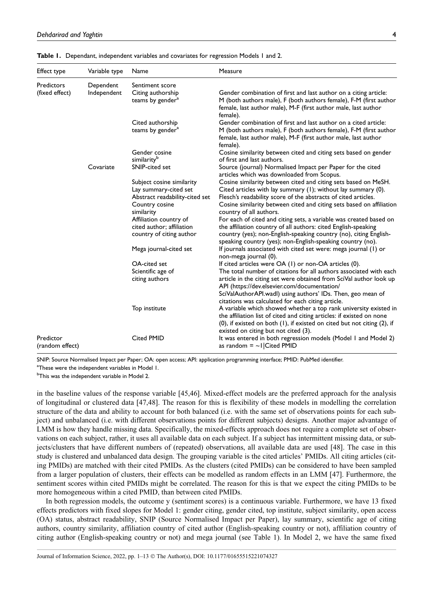| Effect type                  | Variable type | Name                                                                                                                 | Measure                                                                                                                                                                                                                                                                                                           |
|------------------------------|---------------|----------------------------------------------------------------------------------------------------------------------|-------------------------------------------------------------------------------------------------------------------------------------------------------------------------------------------------------------------------------------------------------------------------------------------------------------------|
| Predictors                   | Dependent     | Sentiment score                                                                                                      |                                                                                                                                                                                                                                                                                                                   |
| (fixed effect)               | Independent   | Citing authorship<br>teams by gender <sup>a</sup>                                                                    | Gender combination of first and last author on a citing article:<br>M (both authors male), F (both authors female), F-M (first author<br>female, last author male), M-F (first author male, last author<br>female).                                                                                               |
|                              |               | Cited authorship<br>teams by gender <sup>a</sup>                                                                     | Gender combination of first and last author on a cited article:<br>M (both authors male), F (both authors female), F-M (first author<br>female, last author male), M-F (first author male, last author<br>female).                                                                                                |
|                              |               | Gender cosine<br>similarity <sup>b</sup>                                                                             | Cosine similarity between cited and citing sets based on gender<br>of first and last authors.                                                                                                                                                                                                                     |
|                              | Covariate     | SNIP-cited set                                                                                                       | Source (journal) Normalised Impact per Paper for the cited<br>articles which was downloaded from Scopus.                                                                                                                                                                                                          |
|                              |               | Subject cosine similarity<br>Lay summary-cited set<br>Abstract readability-cited set<br>Country cosine<br>similarity | Cosine similarity between cited and citing sets based on MeSH.<br>Cited articles with lay summary (1); without lay summary (0).<br>Flesch's readability score of the abstracts of cited articles.<br>Cosine similarity between cited and citing sets based on affiliation<br>country of all authors.              |
|                              |               | Affiliation country of<br>cited author; affiliation<br>country of citing author                                      | For each of cited and citing sets, a variable was created based on<br>the affiliation country of all authors: cited English-speaking<br>country (yes); non-English-speaking country (no), citing English-<br>speaking country (yes); non-English-speaking country (no).                                           |
|                              |               | Mega journal-cited set                                                                                               | If journals associated with cited set were: mega journal (1) or<br>non-mega journal (0).                                                                                                                                                                                                                          |
|                              |               | OA-cited set<br>Scientific age of<br>citing authors                                                                  | If cited articles were OA (1) or non-OA articles (0).<br>The total number of citations for all authors associated with each<br>article in the citing set were obtained from SciVal author look up<br>API (https://dev.elsevier.com/documentation/<br>SciValAuthorAPI.wadl) using authors' IDs. Then, geo mean of  |
|                              |               | Top institute                                                                                                        | citations was calculated for each citing article.<br>A variable which showed whether a top rank university existed in<br>the affiliation list of cited and citing articles: if existed on none<br>(0), if existed on both (1), if existed on cited but not citing (2), if<br>existed on citing but not cited (3). |
| Predictor<br>(random effect) |               | <b>Cited PMID</b>                                                                                                    | It was entered in both regression models (Model 1 and Model 2)<br>as random $=$ ~1 Cited PMID                                                                                                                                                                                                                     |

Table 1. Dependant, independent variables and covariates for regression Models 1 and 2.

SNIP: Source Normalised Impact per Paper; OA: open access; API: application programming interface; PMID: PubMed identifier.

<sup>a</sup>These were the independent variables in Model 1.

<sup>b</sup>This was the independent variable in Model <mark>2</mark>.

in the baseline values of the response variable [45,46]. Mixed-effect models are the preferred approach for the analysis of longitudinal or clustered data [47,48]. The reason for this is flexibility of these models in modelling the correlation structure of the data and ability to account for both balanced (i.e. with the same set of observations points for each subject) and unbalanced (i.e. with different observations points for different subjects) designs. Another major advantage of LMM is how they handle missing data. Specifically, the mixed-effects approach does not require a complete set of observations on each subject, rather, it uses all available data on each subject. If a subject has intermittent missing data, or subjects/clusters that have different numbers of (repeated) observations, all available data are used [48]. The case in this study is clustered and unbalanced data design. The grouping variable is the cited articles' PMIDs. All citing articles (citing PMIDs) are matched with their cited PMIDs. As the clusters (cited PMIDs) can be considered to have been sampled from a larger population of clusters, their effects can be modelled as random effects in an LMM [47]. Furthermore, the sentiment scores within cited PMIDs might be correlated. The reason for this is that we expect the citing PMIDs to be more homogeneous within a cited PMID, than between cited PMIDs.

In both regression models, the outcome y (sentiment scores) is a continuous variable. Furthermore, we have 13 fixed effects predictors with fixed slopes for Model 1: gender citing, gender cited, top institute, subject similarity, open access (OA) status, abstract readability, SNIP (Source Normalised Impact per Paper), lay summary, scientific age of citing authors, country similarity, affiliation country of cited author (English-speaking country or not), affiliation country of citing author (English-speaking country or not) and mega journal (see Table 1). In Model 2, we have the same fixed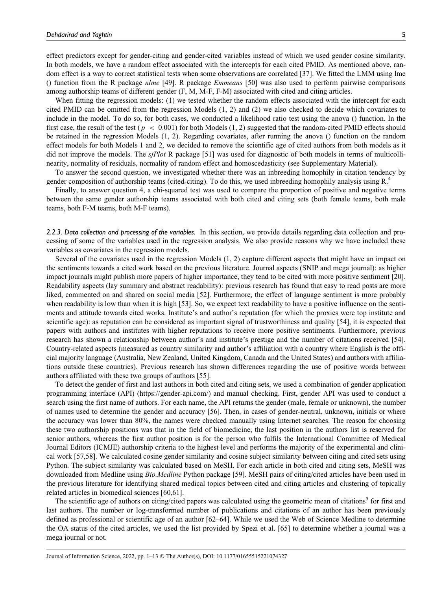effect predictors except for gender-citing and gender-cited variables instead of which we used gender cosine similarity. In both models, we have a random effect associated with the intercepts for each cited PMID. As mentioned above, random effect is a way to correct statistical tests when some observations are correlated [37]. We fitted the LMM using lme () function from the R package *nlme* [49]. R package *Emmeans* [50] was also used to perform pairwise comparisons among authorship teams of different gender (F, M, M-F, F-M) associated with cited and citing articles.

When fitting the regression models: (1) we tested whether the random effects associated with the intercept for each cited PMID can be omitted from the regression Models (1, 2) and (2) we also checked to decide which covariates to include in the model. To do so, for both cases, we conducted a likelihood ratio test using the anova () function. In the first case, the result of the test ( $p < 0.001$ ) for both Models (1, 2) suggested that the random-cited PMID effects should be retained in the regression Models (1, 2). Regarding covariates, after running the anova () function on the random effect models for both Models 1 and 2, we decided to remove the scientific age of cited authors from both models as it did not improve the models. The *sjPlot* R package [51] was used for diagnostic of both models in terms of multicollinearity, normality of residuals, normality of random effect and homoscedasticity (see Supplementary Material).

To answer the second question, we investigated whether there was an inbreeding homophily in citation tendency by gender composition of authorship teams (cited-citing). To do this, we used inbreeding homophily analysis using R.4

Finally, to answer question 4, a chi-squared test was used to compare the proportion of positive and negative terms between the same gender authorship teams associated with both cited and citing sets (both female teams, both male teams, both F-M teams, both M-F teams).

2.2.3. Data collection and processing of the variables. In this section, we provide details regarding data collection and processing of some of the variables used in the regression analysis. We also provide reasons why we have included these variables as covariates in the regression models.

Several of the covariates used in the regression Models (1, 2) capture different aspects that might have an impact on the sentiments towards a cited work based on the previous literature. Journal aspects (SNIP and mega journal): as higher impact journals might publish more papers of higher importance, they tend to be cited with more positive sentiment [20]. Readability aspects (lay summary and abstract readability): previous research has found that easy to read posts are more liked, commented on and shared on social media [52]. Furthermore, the effect of language sentiment is more probably when readability is low than when it is high [53]. So, we expect text readability to have a positive influence on the sentiments and attitude towards cited works. Institute's and author's reputation (for which the proxies were top institute and scientific age): as reputation can be considered as important signal of trustworthiness and quality [54], it is expected that papers with authors and institutes with higher reputations to receive more positive sentiments. Furthermore, previous research has shown a relationship between author's and institute's prestige and the number of citations received [54]. Country-related aspects (measured as country similarity and author's affiliation with a country where English is the official majority language (Australia, New Zealand, United Kingdom, Canada and the United States) and authors with affiliations outside these countries). Previous research has shown differences regarding the use of positive words between authors affiliated with these two groups of authors [55].

To detect the gender of first and last authors in both cited and citing sets, we used a combination of gender application programming interface (API) (<https://gender-api.com/>) and manual checking. First, gender API was used to conduct a search using the first name of authors. For each name, the API returns the gender (male, female or unknown), the number of names used to determine the gender and accuracy [56]. Then, in cases of gender-neutral, unknown, initials or where the accuracy was lower than 80%, the names were checked manually using Internet searches. The reason for choosing these two authorship positions was that in the field of biomedicine, the last position in the authors list is reserved for senior authors, whereas the first author position is for the person who fulfils the International Committee of Medical Journal Editors (ICMJE) authorship criteria to the highest level and performs the majority of the experimental and clinical work [57,58]. We calculated cosine gender similarity and cosine subject similarity between citing and cited sets using Python. The subject similarity was calculated based on MeSH. For each article in both cited and citing sets, MeSH was downloaded from Medline using Bio.Medline Python package [59]. MeSH pairs of citing/cited articles have been used in the previous literature for identifying shared medical topics between cited and citing articles and clustering of topically related articles in biomedical sciences [60,61].

The scientific age of authors on citing/cited papers was calculated using the geometric mean of citations<sup>5</sup> for first and last authors. The number or log-transformed number of publications and citations of an author has been previously defined as professional or scientific age of an author [62–64]. While we used the Web of Science Medline to determine the OA status of the cited articles, we used the list provided by Spezi et al. [65] to determine whether a journal was a mega journal or not.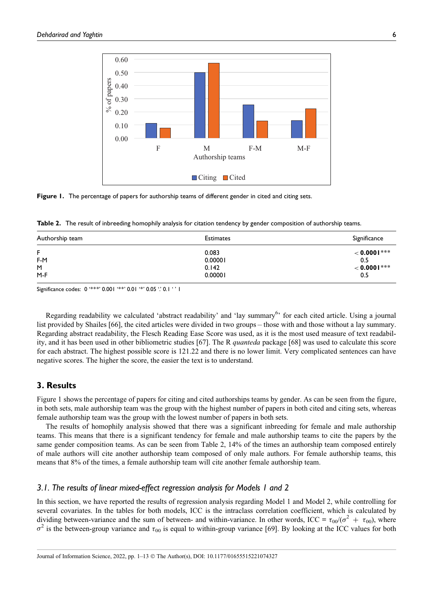

Figure 1. The percentage of papers for authorship teams of different gender in cited and citing sets.

Table 2. The result of inbreeding homophily analysis for citation tendency by gender composition of authorship teams.

| Authorship team | <b>Estimates</b> | Significance   |
|-----------------|------------------|----------------|
| F               | 0.083            | $< 0.0001$ *** |
| F-M             | 0.00001          | 0.5            |
| M               | 0.142            | $< 0.0001$ *** |
| $M-F$           | 0.00001          | 0.5            |

Significance codes: 0 '\*\*\*' 0.001 '\*\*' 0.01 '\*' 0.05 '.' 0.1 ' ' 1

Regarding readability we calculated 'abstract readability' and 'lay summary<sup>6</sup>' for each cited article. Using a journal list provided by Shailes [66], the cited articles were divided in two groups – those with and those without a lay summary. Regarding abstract readability, the Flesch Reading Ease Score was used, as it is the most used measure of text readability, and it has been used in other bibliometric studies [67]. The R *quanteda* package [68] was used to calculate this score for each abstract. The highest possible score is 121.22 and there is no lower limit. Very complicated sentences can have negative scores. The higher the score, the easier the text is to understand.

#### 3. Results

Figure 1 shows the percentage of papers for citing and cited authorships teams by gender. As can be seen from the figure, in both sets, male authorship team was the group with the highest number of papers in both cited and citing sets, whereas female authorship team was the group with the lowest number of papers in both sets.

The results of homophily analysis showed that there was a significant inbreeding for female and male authorship teams. This means that there is a significant tendency for female and male authorship teams to cite the papers by the same gender composition teams. As can be seen from Table 2, 14% of the times an authorship team composed entirely of male authors will cite another authorship team composed of only male authors. For female authorship teams, this means that 8% of the times, a female authorship team will cite another female authorship team.

#### 3.1. The results of linear mixed-effect regression analysis for Models 1 and 2

In this section, we have reported the results of regression analysis regarding Model 1 and Model 2, while controlling for several covariates. In the tables for both models, ICC is the intraclass correlation coefficient, which is calculated by dividing between-variance and the sum of between- and within-variance. In other words, ICC =  $\tau_{00}/(\sigma^2 + \tau_{00})$ , where  $\sigma^2$  is the between-group variance and  $\tau_{00}$  is equal to within-group variance [69]. By looking at the ICC values for both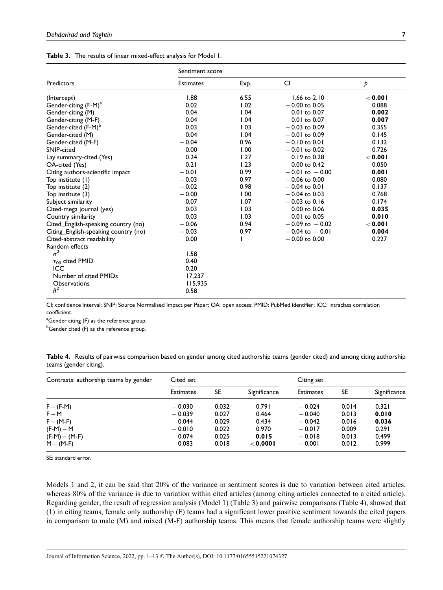|  | Table 3. The results of linear mixed-effect analysis for Model 1. |  |  |  |
|--|-------------------------------------------------------------------|--|--|--|
|--|-------------------------------------------------------------------|--|--|--|

|                                      | Sentiment score  |      |                    |         |  |  |
|--------------------------------------|------------------|------|--------------------|---------|--|--|
| Predictors                           | <b>Estimates</b> | Exp. | <b>CI</b>          | Þ       |  |  |
| (Intercept)                          | 1.88             | 6.55 | $1.66$ to $2.10$   | < 0.001 |  |  |
| Gender-citing (F-M) <sup>a</sup>     | 0.02             | 1.02 | $-0.00$ to 0.05    | 0.088   |  |  |
| Gender-citing (M)                    | 0.04             | 1.04 | $0.01$ to $0.07$   | 0.002   |  |  |
| Gender-citing (M-F)                  | 0.04             | 1.04 | 0.01 to 0.07       | 0.007   |  |  |
| Gender-cited (F-M) <sup>b</sup>      | 0.03             | 1.03 | $-0.03$ to 0.09    | 0.355   |  |  |
| Gender-cited (M)                     | 0.04             | 1.04 | $-0.01$ to 0.09    | 0.145   |  |  |
| Gender-cited (M-F)                   | $-0.04$          | 0.96 | $-0.10$ to 0.01    | 0.132   |  |  |
| SNIP-cited                           | 0.00             | 1.00 | $-0.01$ to 0.02    | 0.726   |  |  |
| Lay summary-cited (Yes)              | 0.24             | 1.27 | 0.19 to 0.28       | < 0.001 |  |  |
| OA-cited (Yes)                       | 0.21             | 1.23 | $0.00$ to $0.42$   | 0.050   |  |  |
| Citing authors-scientific impact     | $-0.01$          | 0.99 | $-0.01$ to $-0.00$ | 0.001   |  |  |
| Top institute (1)                    | $-0.03$          | 0.97 | $-0.06$ to 0.00    | 0.080   |  |  |
| Top institute (2)                    | $-0.02$          | 0.98 | $-0.04$ to 0.01    | 0.137   |  |  |
| Top institute (3)                    | $-0.00$          | 1.00 | $-0.04$ to 0.03    | 0.768   |  |  |
| Subject similarity                   | 0.07             | 1.07 | $-0.03$ to 0.16    | 0.174   |  |  |
| Cited-mega journal (yes)             | 0.03             | 1.03 | $0.00$ to $0.06$   | 0.035   |  |  |
| Country similarity                   | 0.03             | 1.03 | $0.01$ to $0.05$   | 0.010   |  |  |
| Cited_English-speaking country (no)  | $-0.06$          | 0.94 | $-0.09$ to $-0.02$ | < 0.001 |  |  |
| Citing_English-speaking country (no) | $-0.03$          | 0.97 | $-0.04$ to $-0.01$ | 0.004   |  |  |
| Cited-abstract readability           | 0.00             |      | $-0.00$ to 0.00    | 0.227   |  |  |
| Random effects                       |                  |      |                    |         |  |  |
| $\sigma^2$                           | 1.58             |      |                    |         |  |  |
| $\tau_{00}$ cited PMID               | 0.40             |      |                    |         |  |  |
| ICC                                  | 0.20             |      |                    |         |  |  |
| Number of cited PMIDs                | 17.237           |      |                    |         |  |  |
| <b>Observations</b>                  | 115,935          |      |                    |         |  |  |
| $R^2$                                | 0.58             |      |                    |         |  |  |

CI: confidence interval; SNIP: Source Normalised Impact per Paper; OA: open access; PMID: PubMed identifier; ICC: intraclass correlation coefficient.

<sup>a</sup>Gender citing (F) as the reference group.

<sup>b</sup>Gender cited (F) as the reference group.

| Table 4. Results of pairwise comparison based on gender among cited authorship teams (gender cited) and among citing authorship |  |  |  |  |
|---------------------------------------------------------------------------------------------------------------------------------|--|--|--|--|
| teams (gender citing).                                                                                                          |  |  |  |  |

| Contrasts: authorship teams by gender | Cited set        |       |              | Citing set       |       |              |  |
|---------------------------------------|------------------|-------|--------------|------------------|-------|--------------|--|
|                                       | <b>Estimates</b> | SE    | Significance | <b>Estimates</b> | SE    | Significance |  |
| $F - (F-M)$                           | $-0.030$         | 0.032 | 0.791        | $-0.024$         | 0.014 | 0.321        |  |
| $F - M$                               | $-0.039$         | 0.027 | 0.464        | $-0.040$         | 0.013 | 0.010        |  |
| $F - (M-F)$                           | 0.044            | 0.029 | 0.434        | $-0.042$         | 0.016 | 0.036        |  |
| $(F-M) - M$                           | $-0.010$         | 0.022 | 0.970        | $-0.017$         | 0.009 | 0.291        |  |
| $(F-M) - (M-F)$                       | 0.074            | 0.025 | 0.015        | $-0.018$         | 0.013 | 0.499        |  |
| $M - (M-F)$                           | 0.083            | 0.018 | $<$ 0.000 l  | $-0.001$         | 0.012 | 0.999        |  |

SE: standard error.

Models 1 and 2, it can be said that 20% of the variance in sentiment scores is due to variation between cited articles, whereas 80% of the variance is due to variation within cited articles (among citing articles connected to a cited article). Regarding gender, the result of regression analysis (Model 1) (Table 3) and pairwise comparisons (Table 4), showed that (1) in citing teams, female only authorship (F) teams had a significant lower positive sentiment towards the cited papers in comparison to male (M) and mixed (M-F) authorship teams. This means that female authorship teams were slightly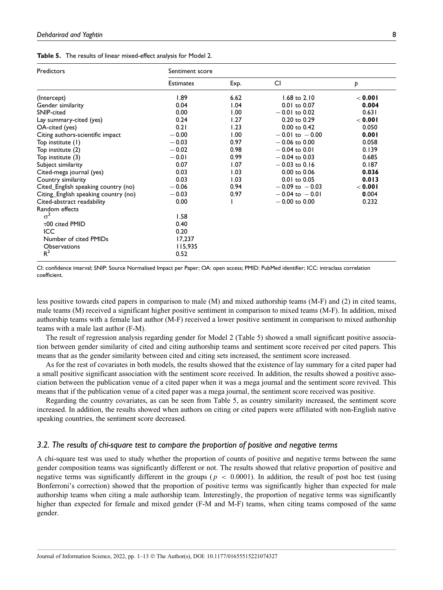|  |  |  | Table 5. The results of linear mixed-effect analysis for Model 2. |  |  |  |  |
|--|--|--|-------------------------------------------------------------------|--|--|--|--|
|--|--|--|-------------------------------------------------------------------|--|--|--|--|

| Predictors                           | Sentiment score  |      |                         |         |  |  |
|--------------------------------------|------------------|------|-------------------------|---------|--|--|
|                                      | <b>Estimates</b> | Exp. | CI                      | p       |  |  |
| (Intercept)                          | 1.89             | 6.62 | $1.68$ to $2.10$        | < 0.001 |  |  |
| Gender similarity                    | 0.04             | 1.04 | $0.01$ to $0.07$        | 0.004   |  |  |
| SNIP-cited                           | 0.00             | 1.00 | $-0.01$ to 0.02         | 0.631   |  |  |
| Lay summary-cited (yes)              | 0.24             | 1.27 | $0.20$ to $0.29$        | < 0.001 |  |  |
| OA-cited (yes)                       | 0.21             | 1.23 | $0.00$ to $0.42$        | 0.050   |  |  |
| Citing authors-scientific impact     | $-0.00$          | 1.00 | $-0.01$ to $-0.00$      | 0.001   |  |  |
| Top institute (1)                    | $-0.03$          | 0.97 | $-0.06$ to 0.00         | 0.058   |  |  |
| Top institute (2)                    | $-0.02$          | 0.98 | $-0.04$ to 0.01         | 0.139   |  |  |
| Top institute (3)                    | $-0.01$          | 0.99 | $-0.04$ to 0.03         | 0.685   |  |  |
| Subject similarity                   | 0.07             | 1.07 | $-0.03$ to 0.16         | 0.187   |  |  |
| Cited-mega journal (yes)             | 0.03             | 1.03 | $0.00 \text{ to } 0.06$ | 0.036   |  |  |
| Country similarity                   | 0.03             | 1.03 | 0.01 to 0.05            | 0.013   |  |  |
| Cited English speaking country (no)  | $-0.06$          | 0.94 | $-0.09$ to $-0.03$      | < 0.001 |  |  |
| Citing_English speaking country (no) | $-0.03$          | 0.97 | $-0.04$ to $-0.01$      | 0.004   |  |  |
| Cited-abstract readability           | 0.00             |      | $-0.00$ to 0.00         | 0.232   |  |  |
| Random effects                       |                  |      |                         |         |  |  |
| $\sigma^2$                           | 1.58             |      |                         |         |  |  |
| $\tau$ 00 cited PMID                 | 0.40             |      |                         |         |  |  |
| ICC                                  | 0.20             |      |                         |         |  |  |
| Number of cited PMIDs                | 17,237           |      |                         |         |  |  |
| <b>Observations</b>                  | 115,935          |      |                         |         |  |  |
| $R^2$                                | 0.52             |      |                         |         |  |  |

CI: confidence interval; SNIP: Source Normalised Impact per Paper; OA: open access; PMID: PubMed identifier; ICC: intraclass correlation coefficient.

less positive towards cited papers in comparison to male (M) and mixed authorship teams (M-F) and (2) in cited teams, male teams (M) received a significant higher positive sentiment in comparison to mixed teams (M-F). In addition, mixed authorship teams with a female last author (M-F) received a lower positive sentiment in comparison to mixed authorship teams with a male last author (F-M).

The result of regression analysis regarding gender for Model 2 (Table 5) showed a small significant positive association between gender similarity of cited and citing authorship teams and sentiment score received per cited papers. This means that as the gender similarity between cited and citing sets increased, the sentiment score increased.

As for the rest of covariates in both models, the results showed that the existence of lay summary for a cited paper had a small positive significant association with the sentiment score received. In addition, the results showed a positive association between the publication venue of a cited paper when it was a mega journal and the sentiment score revived. This means that if the publication venue of a cited paper was a mega journal, the sentiment score received was positive.

Regarding the country covariates, as can be seen from Table 5, as country similarity increased, the sentiment score increased. In addition, the results showed when authors on citing or cited papers were affiliated with non-English native speaking countries, the sentiment score decreased.

#### 3.2. The results of chi-square test to compare the proportion of positive and negative terms

A chi-square test was used to study whether the proportion of counts of positive and negative terms between the same gender composition teams was significantly different or not. The results showed that relative proportion of positive and negative terms was significantly different in the groups ( $p < 0.0001$ ). In addition, the result of post hoc test (using Bonferroni's correction) showed that the proportion of positive terms was significantly higher than expected for male authorship teams when citing a male authorship team. Interestingly, the proportion of negative terms was significantly higher than expected for female and mixed gender (F-M and M-F) teams, when citing teams composed of the same gender.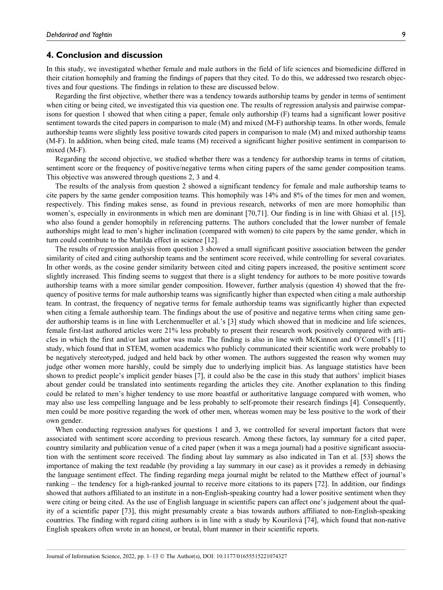#### 4. Conclusion and discussion

In this study, we investigated whether female and male authors in the field of life sciences and biomedicine differed in their citation homophily and framing the findings of papers that they cited. To do this, we addressed two research objectives and four questions. The findings in relation to these are discussed below.

Regarding the first objective, whether there was a tendency towards authorship teams by gender in terms of sentiment when citing or being cited, we investigated this via question one. The results of regression analysis and pairwise comparisons for question 1 showed that when citing a paper, female only authorship (F) teams had a significant lower positive sentiment towards the cited papers in comparison to male (M) and mixed (M-F) authorship teams. In other words, female authorship teams were slightly less positive towards cited papers in comparison to male (M) and mixed authorship teams (M-F). In addition, when being cited, male teams (M) received a significant higher positive sentiment in comparison to mixed (M-F).

Regarding the second objective, we studied whether there was a tendency for authorship teams in terms of citation, sentiment score or the frequency of positive/negative terms when citing papers of the same gender composition teams. This objective was answered through questions 2, 3 and 4.

The results of the analysis from question 2 showed a significant tendency for female and male authorship teams to cite papers by the same gender composition teams. This homophily was 14% and 8% of the times for men and women, respectively. This finding makes sense, as found in previous research, networks of men are more homophilic than women's, especially in environments in which men are dominant [70,71]. Our finding is in line with Ghiasi et al. [15], who also found a gender homophily in referencing patterns. The authors concluded that the lower number of female authorships might lead to men's higher inclination (compared with women) to cite papers by the same gender, which in turn could contribute to the Matilda effect in science [12].

The results of regression analysis from question 3 showed a small significant positive association between the gender similarity of cited and citing authorship teams and the sentiment score received, while controlling for several covariates. In other words, as the cosine gender similarity between cited and citing papers increased, the positive sentiment score slightly increased. This finding seems to suggest that there is a slight tendency for authors to be more positive towards authorship teams with a more similar gender composition. However, further analysis (question 4) showed that the frequency of positive terms for male authorship teams was significantly higher than expected when citing a male authorship team. In contrast, the frequency of negative terms for female authorship teams was significantly higher than expected when citing a female authorship team. The findings about the use of positive and negative terms when citing same gender authorship teams is in line with Lerchenmueller et al.'s [3] study which showed that in medicine and life sciences, female first-last authored articles were 21% less probably to present their research work positively compared with articles in which the first and/or last author was male. The finding is also in line with McKinnon and O'Connell's [11] study, which found that in STEM, women academics who publicly communicated their scientific work were probably to be negatively stereotyped, judged and held back by other women. The authors suggested the reason why women may judge other women more harshly, could be simply due to underlying implicit bias. As language statistics have been shown to predict people's implicit gender biases [7], it could also be the case in this study that authors' implicit biases about gender could be translated into sentiments regarding the articles they cite. Another explanation to this finding could be related to men's higher tendency to use more boastful or authoritative language compared with women, who may also use less compelling language and be less probably to self-promote their research findings [4]. Consequently, men could be more positive regarding the work of other men, whereas women may be less positive to the work of their own gender.

When conducting regression analyses for questions 1 and 3, we controlled for several important factors that were associated with sentiment score according to previous research. Among these factors, lay summary for a cited paper, country similarity and publication venue of a cited paper (when it was a mega journal) had a positive significant association with the sentiment score received. The finding about lay summary as also indicated in Tan et al. [53] shows the importance of making the text readable (by providing a lay summary in our case) as it provides a remedy in debiasing the language sentiment effect. The finding regarding mega journal might be related to the Matthew effect of journal's ranking – the tendency for a high-ranked journal to receive more citations to its papers [72]. In addition, our findings showed that authors affiliated to an institute in a non-English-speaking country had a lower positive sentiment when they were citing or being cited. As the use of English language in scientific papers can affect one's judgement about the quality of a scientific paper [73], this might presumably create a bias towards authors affiliated to non-English-speaking countries. The finding with regard citing authors is in line with a study by Kourilová [74], which found that non-native English speakers often wrote in an honest, or brutal, blunt manner in their scientific reports.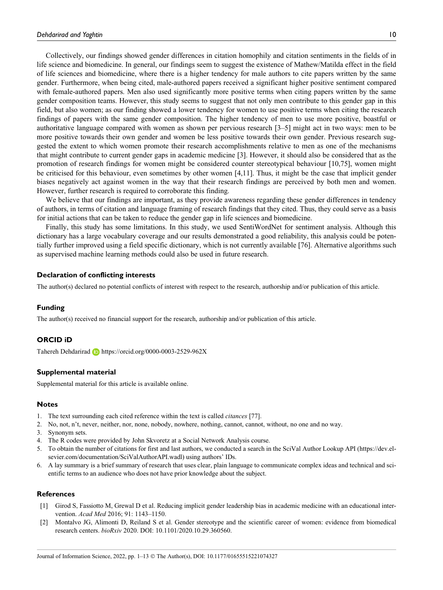Collectively, our findings showed gender differences in citation homophily and citation sentiments in the fields of in life science and biomedicine. In general, our findings seem to suggest the existence of Mathew/Matilda effect in the field of life sciences and biomedicine, where there is a higher tendency for male authors to cite papers written by the same gender. Furthermore, when being cited, male-authored papers received a significant higher positive sentiment compared with female-authored papers. Men also used significantly more positive terms when citing papers written by the same gender composition teams. However, this study seems to suggest that not only men contribute to this gender gap in this field, but also women; as our finding showed a lower tendency for women to use positive terms when citing the research findings of papers with the same gender composition. The higher tendency of men to use more positive, boastful or authoritative language compared with women as shown per pervious research [3–5] might act in two ways: men to be more positive towards their own gender and women be less positive towards their own gender. Previous research suggested the extent to which women promote their research accomplishments relative to men as one of the mechanisms that might contribute to current gender gaps in academic medicine [3]. However, it should also be considered that as the promotion of research findings for women might be considered counter stereotypical behaviour [10,75], women might be criticised for this behaviour, even sometimes by other women [4,11]. Thus, it might be the case that implicit gender biases negatively act against women in the way that their research findings are perceived by both men and women. However, further research is required to corroborate this finding.

We believe that our findings are important, as they provide awareness regarding these gender differences in tendency of authors, in terms of citation and language framing of research findings that they cited. Thus, they could serve as a basis for initial actions that can be taken to reduce the gender gap in life sciences and biomedicine.

Finally, this study has some limitations. In this study, we used SentiWordNet for sentiment analysis. Although this dictionary has a large vocabulary coverage and our results demonstrated a good reliability, this analysis could be potentially further improved using a field specific dictionary, which is not currently available [76]. Alternative algorithms such as supervised machine learning methods could also be used in future research.

#### Declaration of conflicting interests

The author(s) declared no potential conflicts of interest with respect to the research, authorship and/or publication of this article.

#### Funding

The author(s) received no financial support for the research, authorship and/or publication of this article.

#### ORCID iD

Tahereh Dehdarirad **<https://orcid.org/0000-0003-2529-962X>** 

#### Supplemental material

Supplemental material for this article is available online.

#### **Notes**

- 1. The text surrounding each cited reference within the text is called citances [77].
- 2. No, not, n't, never, neither, nor, none, nobody, nowhere, nothing, cannot, cannot, without, no one and no way.
- 3. Synonym sets.
- 4. The R codes were provided by John Skvoretz at a Social Network Analysis course.
- 5. To obtain the number of citations for first and last authors, we conducted a search in the SciVal Author Lookup API ([https://dev.el](https://dev.elsevier.com/documentation/SciValAuthorAPI.wadl)[sevier.com/documentation/SciValAuthorAPI.wadl](https://dev.elsevier.com/documentation/SciValAuthorAPI.wadl)) using authors' IDs.
- 6. A lay summary is a brief summary of research that uses clear, plain language to communicate complex ideas and technical and scientific terms to an audience who does not have prior knowledge about the subject.

#### **References**

- [1] Girod S, Fassiotto M, Grewal D et al. Reducing implicit gender leadership bias in academic medicine with an educational intervention. *Acad Med* 2016; 91: 1143–1150.
- [2] Montalvo JG, Alimonti D, Reiland S et al. Gender stereotype and the scientific career of women: evidence from biomedical research centers. bioRxiv 2020. DOI: 10.1101/2020.10.29.360560.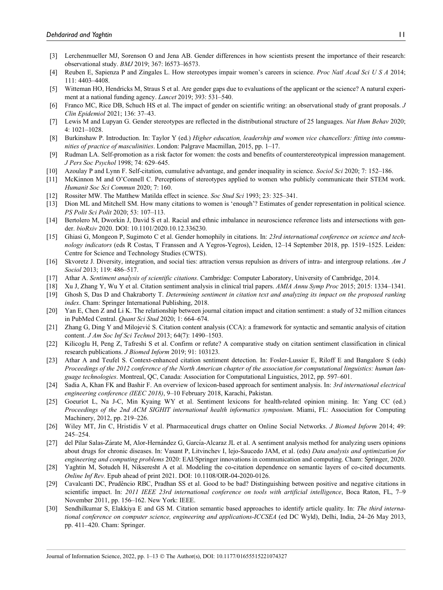- [3] Lerchenmueller MJ, Sorenson O and Jena AB. Gender differences in how scientists present the importance of their research: observational study. BMJ 2019; 367: l6573–l6573.
- [4] Reuben E, Sapienza P and Zingales L. How stereotypes impair women's careers in science. Proc Natl Acad Sci U S A 2014; 111: 4403–4408.
- [5] Witteman HO, Hendricks M, Straus S et al. Are gender gaps due to evaluations of the applicant or the science? A natural experiment at a national funding agency. Lancet 2019; 393: 531–540.
- [6] Franco MC, Rice DB, Schuch HS et al. The impact of gender on scientific writing: an observational study of grant proposals. J Clin Epidemiol 2021; 136: 37–43.
- [7] Lewis M and Lupyan G. Gender stereotypes are reflected in the distributional structure of 25 languages. Nat Hum Behav 2020; 4: 1021–1028.
- [8] Burkinshaw P. Introduction. In: Taylor Y (ed.) Higher education, leadership and women vice chancellors: fitting into communities of practice of masculinities. London: Palgrave Macmillan, 2015, pp. 1–17.
- [9] Rudman LA. Self-promotion as a risk factor for women: the costs and benefits of counterstereotypical impression management. J Pers Soc Psychol 1998; 74: 629–645.
- [10] Azoulay P and Lynn F. Self-citation, cumulative advantage, and gender inequality in science. Sociol Sci 2020; 7: 152–186.
- [11] McKinnon M and O'Connell C. Perceptions of stereotypes applied to women who publicly communicate their STEM work. Humanit Soc Sci Commun 2020; 7: 160.
- [12] Rossiter MW. The Matthew Matilda effect in science. Soc Stud Sci 1993; 23: 325–341.
- [13] Dion ML and Mitchell SM. How many citations to women is 'enough'? Estimates of gender representation in political science. PS Polit Sci Polit 2020; 53: 107–113.
- [14] Bertolero M, Dworkin J, David S et al. Racial and ethnic imbalance in neuroscience reference lists and intersections with gender. bioRxiv 2020. DOI: 10.1101/2020.10.12.336230.
- [15] Ghiasi G, Mongeon P, Sugimoto C et al. Gender homophily in citations. In: 23rd international conference on science and technology indicators (eds R Costas, T Franssen and A Yegros-Yegros), Leiden, 12–14 September 2018, pp. 1519–1525. Leiden: Centre for Science and Technology Studies (CWTS).
- [16] Skvoretz J. Diversity, integration, and social ties: attraction versus repulsion as drivers of intra- and intergroup relations. Am J Sociol 2013; 119: 486–517.
- [17] Athar A. Sentiment analysis of scientific citations. Cambridge: Computer Laboratory, University of Cambridge, 2014.
- [18] Xu J, Zhang Y, Wu Y et al. Citation sentiment analysis in clinical trial papers. AMIA Annu Symp Proc 2015; 2015: 1334–1341.
- [19] Ghosh S, Das D and Chakraborty T. Determining sentiment in citation text and analyzing its impact on the proposed ranking index. Cham: Springer International Publishing, 2018.
- [20] Yan E, Chen Z and Li K. The relationship between journal citation impact and citation sentiment: a study of 32 million citances in PubMed Central. Quant Sci Stud 2020; 1: 664–674.
- [21] Zhang G, Ding Y and Milojević S. Citation content analysis (CCA): a framework for syntactic and semantic analysis of citation content. J Am Soc Inf Sci Technol 2013; 64(7): 1490–1503.
- [22] Kilicoglu H, Peng Z, Tafreshi S et al. Confirm or refute? A comparative study on citation sentiment classification in clinical research publications. J Biomed Inform 2019; 91: 103123.
- [23] Athar A and Teufel S. Context-enhanced citation sentiment detection. In: Fosler-Lussier E, Riloff E and Bangalore S (eds) Proceedings of the 2012 conference of the North American chapter of the association for computational linguistics: human language technologies. Montreal, QC, Canada: Association for Computational Linguistics, 2012, pp. 597–601.
- [24] Sadia A, Khan FK and Bashir F. An overview of lexicon-based approach for sentiment analysis. In: 3rd international electrical engineering conference (IEEC 2018), 9–10 February 2018, Karachi, Pakistan.
- [25] Goeuriot L, Na J-C, Min Kyaing WY et al. Sentiment lexicons for health-related opinion mining. In: Yang CC (ed.) Proceedings of the 2nd ACM SIGHIT international health informatics symposium. Miami, FL: Association for Computing Machinery, 2012, pp. 219–226.
- [26] Wiley MT, Jin C, Hristidis V et al. Pharmaceutical drugs chatter on Online Social Networks. J Biomed Inform 2014; 49: 245–254.
- [27] del Pilar Salas-Zárate M, Alor-Hernández G, García-Alcaraz JL et al. A sentiment analysis method for analyzing users opinions about drugs for chronic diseases. In: Vasant P, Litvinchev I, lejo-Saucedo JAM, et al. (eds) Data analysis and optimization for engineering and computing problems 2020: EAI/Springer innovations in communication and computing. Cham: Springer, 2020.
- [28] Yaghtin M, Sotudeh H, Nikseresht A et al. Modeling the co-citation dependence on semantic layers of co-cited documents. Online Inf Rev. Epub ahead of print 2021. DOI: 10.1108/OIR-04-2020-0126.
- [29] Cavalcanti DC, Prudêncio RBC, Pradhan SS et al. Good to be bad? Distinguishing between positive and negative citations in scientific impact. In: 2011 IEEE 23rd international conference on tools with artificial intelligence, Boca Raton, FL, 7-9 November 2011, pp. 156–162. New York: IEEE.
- [30] Sendhilkumar S, Elakkiya E and GS M. Citation semantic based approaches to identify article quality. In: The third international conference on computer science, engineering and applications-ICCSEA (ed DC Wyld), Delhi, India, 24–26 May 2013, pp. 411–420. Cham: Springer.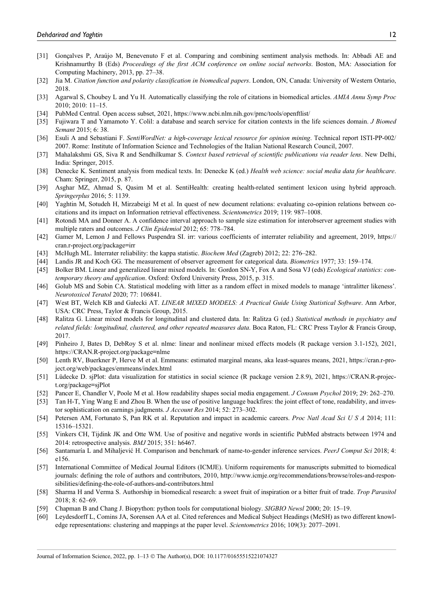- [31] Gonçalves P, Araújo M, Benevenuto F et al. Comparing and combining sentiment analysis methods. In: Abbadi AE and Krishnamurthy B (Eds) Proceedings of the first ACM conference on online social networks. Boston, MA: Association for Computing Machinery, 2013, pp. 27–38.
- [32] Jia M. Citation function and polarity classification in biomedical papers. London, ON, Canada: University of Western Ontario, 2018.
- [33] Agarwal S, Choubey L and Yu H. Automatically classifying the role of citations in biomedical articles. AMIA Annu Symp Proc 2010; 2010: 11–15.
- [34] PubMed Central. Open access subset, 2021,<https://www.ncbi.nlm.nih.gov/pmc/tools/openftlist/>
- [35] Fujiwara T and Yamamoto Y. Colil: a database and search service for citation contexts in the life sciences domain. *J Biomed* Semant 2015; 6: 38.
- [36] Esuli A and Sebastiani F. SentiWordNet: a high-coverage lexical resource for opinion mining. Technical report ISTI-PP-002/ 2007. Rome: Institute of Information Science and Technologies of the Italian National Research Council, 2007.
- [37] Mahalakshmi GS, Siva R and Sendhilkumar S. Context based retrieval of scientific publications via reader lens. New Delhi, India: Springer, 2015.
- [38] Denecke K. Sentiment analysis from medical texts. In: Denecke K (ed.) Health web science: social media data for healthcare. Cham: Springer, 2015, p. 87.
- [39] Asghar MZ, Ahmad S, Qasim M et al. SentiHealth: creating health-related sentiment lexicon using hybrid approach. Springerplus 2016; 5: 1139.
- [40] Yaghtin M, Sotudeh H, Mirzabeigi M et al. In quest of new document relations: evaluating co-opinion relations between cocitations and its impact on Information retrieval effectiveness. Scientometrics 2019; 119: 987–1008.
- [41] Rotondi MA and Donner A. A confidence interval approach to sample size estimation for interobserver agreement studies with multiple raters and outcomes. J Clin Epidemiol 2012; 65: 778–784.
- [42] Gamer M, Lemon J and Fellows Puspendra SI. irr: various coefficients of interrater reliability and agreement, 2019, [https://](https://cran.r-project.org/package=irr) [cran.r-project.org/package=irr](https://cran.r-project.org/package=irr)
- [43] McHugh ML. Interrater reliability: the kappa statistic. Biochem Med (Zagreb) 2012; 22: 276–282.
- [44] Landis JR and Koch GG. The measurement of observer agreement for categorical data. Biometrics 1977; 33: 159–174.
- [45] Bolker BM. Linear and generalized linear mixed models. In: Gordon SN-Y, Fox A and Sosa VJ (eds) Ecological statistics: contemporary theory and application. Oxford: Oxford University Press, 2015, p. 315.
- [46] Golub MS and Sobin CA. Statistical modeling with litter as a random effect in mixed models to manage 'intralitter likeness'. Neurotoxicol Teratol 2020; 77: 106841.
- [47] West BT, Welch KB and Gałecki AT. LINEAR MIXED MODELS: A Practical Guide Using Statistical Software. Ann Arbor, USA: CRC Press, Taylor & Francis Group, 2015.
- [48] Ralitza G. Linear mixed models for longitudinal and clustered data. In: Ralitza G (ed.) Statistical methods in psychiatry and related fields: longitudinal, clustered, and other repeated measures data. Boca Raton, FL: CRC Press Taylor & Francis Group, 2017.
- [49] Pinheiro J, Bates D, DebRoy S et al. nlme: linear and nonlinear mixed effects models (R package version 3.1-152), 2021, <https://CRAN.R-project.org/package=nlme>
- [50] Lenth RV, Buerkner P, Herve M et al. Emmeans: estimated marginal means, aka least-squares means, 2021, [https://cran.r-pro](https://cran.r-project.org/web/packages/emmeans/index.html)[ject.org/web/packages/emmeans/index.html](https://cran.r-project.org/web/packages/emmeans/index.html)
- [51] Lüdecke D. sjPlot: data visualization for statistics in social science (R package version 2.8.9), 2021, [https://CRAN.R-projec](https://CRAN.R-project.org/package=sjPlot)[t.org/package=sjPlot](https://CRAN.R-project.org/package=sjPlot)
- [52] Pancer E, Chandler V, Poole M et al. How readability shapes social media engagement. J Consum Psychol 2019; 29: 262–270.
- [53] Tan H-T, Ying Wang E and Zhou B. When the use of positive language backfires: the joint effect of tone, readability, and investor sophistication on earnings judgments. J Account Res 2014; 52: 273–302.
- [54] Petersen AM, Fortunato S, Pan RK et al. Reputation and impact in academic careers. Proc Natl Acad Sci U S A 2014; 111: 15316–15321.
- [55] Vinkers CH, Tijdink JK and Otte WM. Use of positive and negative words in scientific PubMed abstracts between 1974 and 2014: retrospective analysis. BMJ 2015; 351: h6467.
- [56] Santamaría L and Mihaljević H. Comparison and benchmark of name-to-gender inference services. PeerJ Comput Sci 2018; 4: e156.
- [57] International Committee of Medical Journal Editors (ICMJE). Uniform requirements for manuscripts submitted to biomedical journals: defining the role of authors and contributors, 2010, [http://www.icmje.org/recommendations/browse/roles-and-respon](http://www.icmje.org/recommendations/browse/roles-and-responsibilities/defining-the-role-of-authors-and-contributors.html)[sibilities/defining-the-role-of-authors-and-contributors.html](http://www.icmje.org/recommendations/browse/roles-and-responsibilities/defining-the-role-of-authors-and-contributors.html)
- [58] Sharma H and Verma S. Authorship in biomedical research: a sweet fruit of inspiration or a bitter fruit of trade. Trop Parasitol 2018; 8: 62–69.
- [59] Chapman B and Chang J. Biopython: python tools for computational biology. SIGBIO Newsl 2000; 20: 15–19.
- [60] Leydesdorff L, Comins JA, Sorensen AA et al. Cited references and Medical Subject Headings (MeSH) as two different knowledge representations: clustering and mappings at the paper level. Scientometrics 2016; 109(3): 2077–2091.